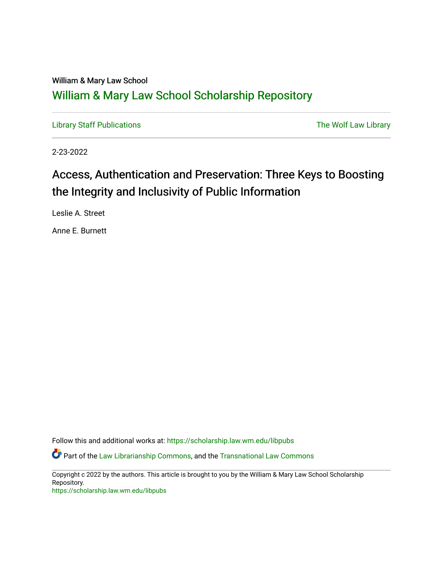## William & Mary Law School [William & Mary Law School Scholarship Repository](https://scholarship.law.wm.edu/)

[Library Staff Publications](https://scholarship.law.wm.edu/libpubs) **The Wolf Law Library** Channel Communist Channel Channel Channel Channel Channel Channel Channel Channel Channel Channel Channel Channel Channel Channel Channel Channel Channel Channel Channel Ch

2-23-2022

# Access, Authentication and Preservation: Three Keys to Boosting the Integrity and Inclusivity of Public Information

Leslie A. Street

Anne E. Burnett

Follow this and additional works at: [https://scholarship.law.wm.edu/libpubs](https://scholarship.law.wm.edu/libpubs?utm_source=scholarship.law.wm.edu%2Flibpubs%2F148&utm_medium=PDF&utm_campaign=PDFCoverPages) 

**C** Part of the [Law Librarianship Commons](http://network.bepress.com/hgg/discipline/1393?utm_source=scholarship.law.wm.edu%2Flibpubs%2F148&utm_medium=PDF&utm_campaign=PDFCoverPages), and the [Transnational Law Commons](http://network.bepress.com/hgg/discipline/1123?utm_source=scholarship.law.wm.edu%2Flibpubs%2F148&utm_medium=PDF&utm_campaign=PDFCoverPages)

Copyright c 2022 by the authors. This article is brought to you by the William & Mary Law School Scholarship Repository.

<https://scholarship.law.wm.edu/libpubs>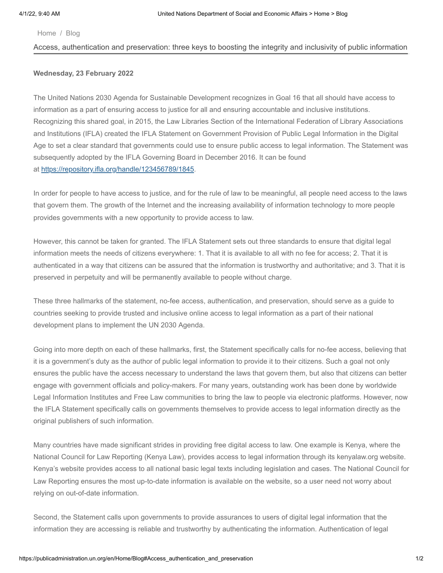#### [Home](http://publicadministration.un.org/en/) / [Blog](http://publicadministration.un.org/en/Home/Blog)

#### Access, authentication and preservation: three keys to boosting the integrity and inclusivity of public information

### **Wednesday, 23 February 2022**

The United Nations 2030 Agenda for Sustainable Development recognizes in Goal 16 that all should have access to information as a part of ensuring access to justice for all and ensuring accountable and inclusive institutions. Recognizing this shared goal, in 2015, the Law Libraries Section of the International Federation of Library Associations and Institutions (IFLA) created the IFLA Statement on Government Provision of Public Legal Information in the Digital Age to set a clear standard that governments could use to ensure public access to legal information. The Statement was subsequently adopted by the IFLA Governing Board in December 2016. It can be found at <https://repository.ifla.org/handle/123456789/1845>.

In order for people to have access to justice, and for the rule of law to be meaningful, all people need access to the laws that govern them. The growth of the Internet and the increasing availability of information technology to more people provides governments with a new opportunity to provide access to law.

However, this cannot be taken for granted. The IFLA Statement sets out three standards to ensure that digital legal information meets the needs of citizens everywhere: 1. That it is available to all with no fee for access; 2. That it is authenticated in a way that citizens can be assured that the information is trustworthy and authoritative; and 3. That it is preserved in perpetuity and will be permanently available to people without charge.

These three hallmarks of the statement, no-fee access, authentication, and preservation, should serve as a guide to countries seeking to provide trusted and inclusive online access to legal information as a part of their national development plans to implement the UN 2030 Agenda.

Going into more depth on each of these hallmarks, first, the Statement specifically calls for no-fee access, believing that it is a government's duty as the author of public legal information to provide it to their citizens. Such a goal not only ensures the public have the access necessary to understand the laws that govern them, but also that citizens can better engage with government officials and policy-makers. For many years, outstanding work has been done by worldwide Legal Information Institutes and Free Law communities to bring the law to people via electronic platforms. However, now the IFLA Statement specifically calls on governments themselves to provide access to legal information directly as the original publishers of such information.

Many countries have made significant strides in providing free digital access to law. One example is Kenya, where the National Council for Law Reporting (Kenya Law), provides access to legal information through its kenyalaw.org website. Kenya's website provides access to all national basic legal texts including legislation and cases. The National Council for Law Reporting ensures the most up-to-date information is available on the website, so a user need not worry about relying on out-of-date information.

Second, the Statement calls upon governments to provide assurances to users of digital legal information that the information they are accessing is reliable and trustworthy by authenticating the information. Authentication of legal